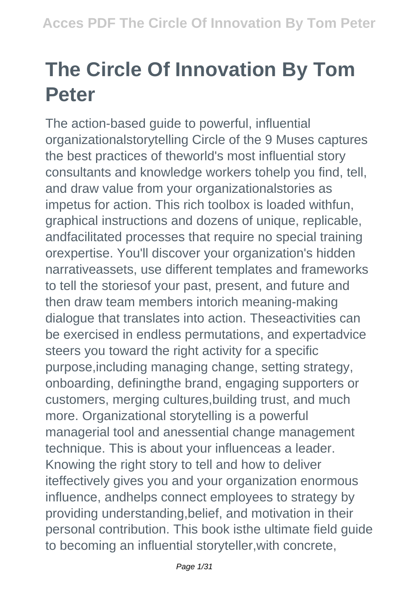## **The Circle Of Innovation By Tom Peter**

The action-based guide to powerful, influential organizationalstorytelling Circle of the 9 Muses captures the best practices of theworld's most influential story consultants and knowledge workers tohelp you find, tell, and draw value from your organizationalstories as impetus for action. This rich toolbox is loaded withfun, graphical instructions and dozens of unique, replicable, andfacilitated processes that require no special training orexpertise. You'll discover your organization's hidden narrativeassets, use different templates and frameworks to tell the storiesof your past, present, and future and then draw team members intorich meaning-making dialogue that translates into action. Theseactivities can be exercised in endless permutations, and expertadvice steers you toward the right activity for a specific purpose,including managing change, setting strategy, onboarding, definingthe brand, engaging supporters or customers, merging cultures,building trust, and much more. Organizational storytelling is a powerful managerial tool and anessential change management technique. This is about your influenceas a leader. Knowing the right story to tell and how to deliver iteffectively gives you and your organization enormous influence, andhelps connect employees to strategy by providing understanding,belief, and motivation in their personal contribution. This book isthe ultimate field guide to becoming an influential storyteller,with concrete,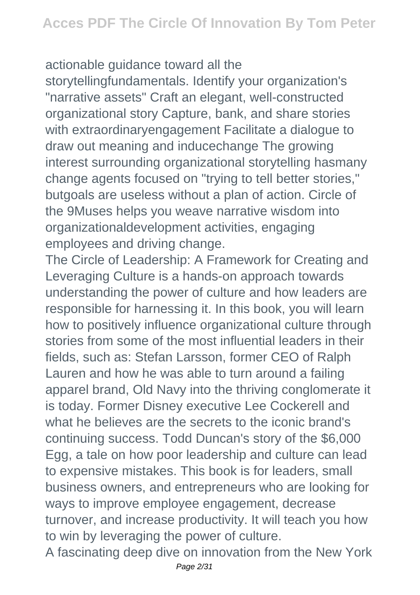## actionable guidance toward all the

storytellingfundamentals. Identify your organization's "narrative assets" Craft an elegant, well-constructed organizational story Capture, bank, and share stories with extraordinaryengagement Facilitate a dialogue to draw out meaning and inducechange The growing interest surrounding organizational storytelling hasmany change agents focused on "trying to tell better stories," butgoals are useless without a plan of action. Circle of the 9Muses helps you weave narrative wisdom into organizationaldevelopment activities, engaging employees and driving change.

The Circle of Leadership: A Framework for Creating and Leveraging Culture is a hands-on approach towards understanding the power of culture and how leaders are responsible for harnessing it. In this book, you will learn how to positively influence organizational culture through stories from some of the most influential leaders in their fields, such as: Stefan Larsson, former CEO of Ralph Lauren and how he was able to turn around a failing apparel brand, Old Navy into the thriving conglomerate it is today. Former Disney executive Lee Cockerell and what he believes are the secrets to the iconic brand's continuing success. Todd Duncan's story of the \$6,000 Egg, a tale on how poor leadership and culture can lead to expensive mistakes. This book is for leaders, small business owners, and entrepreneurs who are looking for ways to improve employee engagement, decrease turnover, and increase productivity. It will teach you how to win by leveraging the power of culture.

A fascinating deep dive on innovation from the New York Page 2/31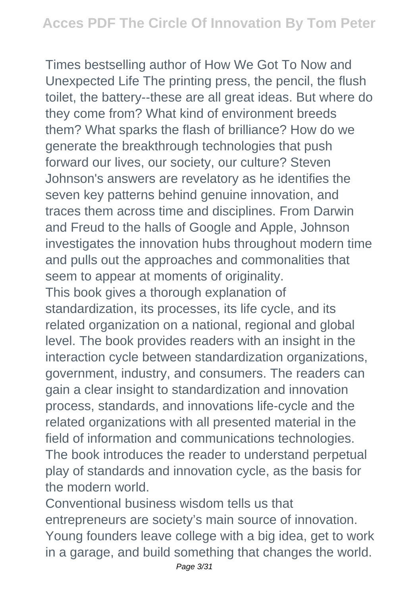Times bestselling author of How We Got To Now and Unexpected Life The printing press, the pencil, the flush toilet, the battery--these are all great ideas. But where do they come from? What kind of environment breeds them? What sparks the flash of brilliance? How do we generate the breakthrough technologies that push forward our lives, our society, our culture? Steven Johnson's answers are revelatory as he identifies the seven key patterns behind genuine innovation, and traces them across time and disciplines. From Darwin and Freud to the halls of Google and Apple, Johnson investigates the innovation hubs throughout modern time and pulls out the approaches and commonalities that seem to appear at moments of originality. This book gives a thorough explanation of standardization, its processes, its life cycle, and its related organization on a national, regional and global level. The book provides readers with an insight in the interaction cycle between standardization organizations, government, industry, and consumers. The readers can gain a clear insight to standardization and innovation process, standards, and innovations life-cycle and the related organizations with all presented material in the field of information and communications technologies. The book introduces the reader to understand perpetual play of standards and innovation cycle, as the basis for the modern world.

Conventional business wisdom tells us that entrepreneurs are society's main source of innovation. Young founders leave college with a big idea, get to work in a garage, and build something that changes the world.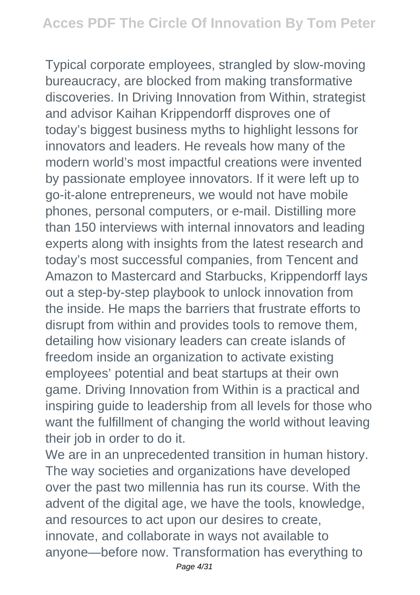Typical corporate employees, strangled by slow-moving bureaucracy, are blocked from making transformative discoveries. In Driving Innovation from Within, strategist and advisor Kaihan Krippendorff disproves one of today's biggest business myths to highlight lessons for innovators and leaders. He reveals how many of the modern world's most impactful creations were invented by passionate employee innovators. If it were left up to go-it-alone entrepreneurs, we would not have mobile phones, personal computers, or e-mail. Distilling more than 150 interviews with internal innovators and leading experts along with insights from the latest research and today's most successful companies, from Tencent and Amazon to Mastercard and Starbucks, Krippendorff lays out a step-by-step playbook to unlock innovation from the inside. He maps the barriers that frustrate efforts to disrupt from within and provides tools to remove them, detailing how visionary leaders can create islands of freedom inside an organization to activate existing employees' potential and beat startups at their own game. Driving Innovation from Within is a practical and inspiring guide to leadership from all levels for those who want the fulfillment of changing the world without leaving their job in order to do it.

We are in an unprecedented transition in human history. The way societies and organizations have developed over the past two millennia has run its course. With the advent of the digital age, we have the tools, knowledge, and resources to act upon our desires to create, innovate, and collaborate in ways not available to anyone—before now. Transformation has everything to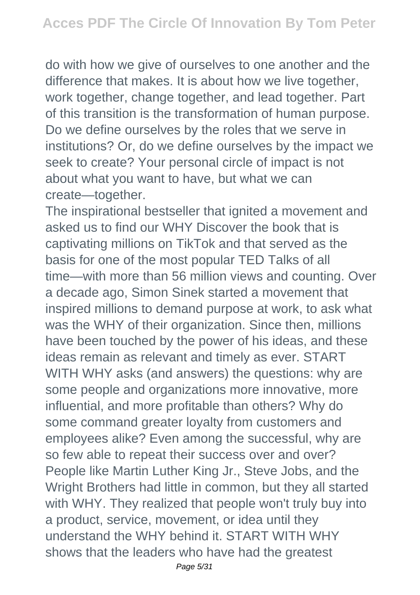do with how we give of ourselves to one another and the difference that makes. It is about how we live together, work together, change together, and lead together. Part of this transition is the transformation of human purpose. Do we define ourselves by the roles that we serve in institutions? Or, do we define ourselves by the impact we seek to create? Your personal circle of impact is not about what you want to have, but what we can create—together.

The inspirational bestseller that ignited a movement and asked us to find our WHY Discover the book that is captivating millions on TikTok and that served as the basis for one of the most popular TED Talks of all time—with more than 56 million views and counting. Over a decade ago, Simon Sinek started a movement that inspired millions to demand purpose at work, to ask what was the WHY of their organization. Since then, millions have been touched by the power of his ideas, and these ideas remain as relevant and timely as ever. START WITH WHY asks (and answers) the questions: why are some people and organizations more innovative, more influential, and more profitable than others? Why do some command greater loyalty from customers and employees alike? Even among the successful, why are so few able to repeat their success over and over? People like Martin Luther King Jr., Steve Jobs, and the Wright Brothers had little in common, but they all started with WHY. They realized that people won't truly buy into a product, service, movement, or idea until they understand the WHY behind it. START WITH WHY shows that the leaders who have had the greatest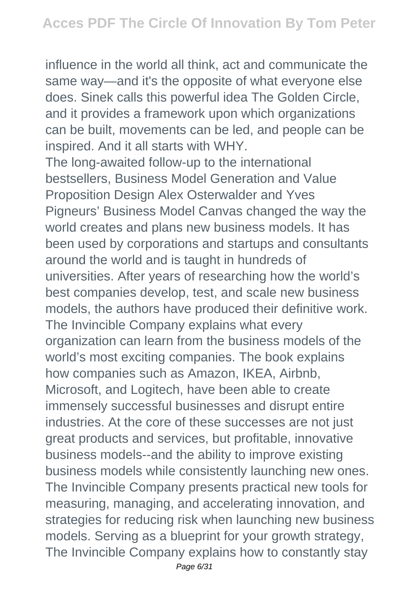influence in the world all think, act and communicate the same way—and it's the opposite of what everyone else does. Sinek calls this powerful idea The Golden Circle, and it provides a framework upon which organizations can be built, movements can be led, and people can be inspired. And it all starts with WHY.

The long-awaited follow-up to the international bestsellers, Business Model Generation and Value Proposition Design Alex Osterwalder and Yves Pigneurs' Business Model Canvas changed the way the world creates and plans new business models. It has been used by corporations and startups and consultants around the world and is taught in hundreds of universities. After years of researching how the world's best companies develop, test, and scale new business models, the authors have produced their definitive work. The Invincible Company explains what every organization can learn from the business models of the world's most exciting companies. The book explains how companies such as Amazon, IKEA, Airbnb, Microsoft, and Logitech, have been able to create immensely successful businesses and disrupt entire industries. At the core of these successes are not just great products and services, but profitable, innovative business models--and the ability to improve existing business models while consistently launching new ones. The Invincible Company presents practical new tools for measuring, managing, and accelerating innovation, and strategies for reducing risk when launching new business models. Serving as a blueprint for your growth strategy, The Invincible Company explains how to constantly stay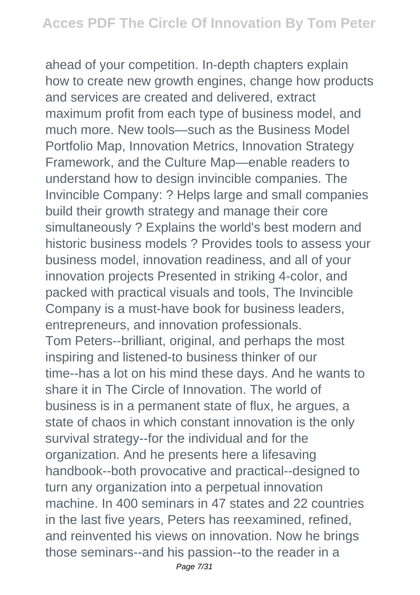ahead of your competition. In-depth chapters explain how to create new growth engines, change how products and services are created and delivered, extract maximum profit from each type of business model, and much more. New tools—such as the Business Model Portfolio Map, Innovation Metrics, Innovation Strategy Framework, and the Culture Map—enable readers to understand how to design invincible companies. The Invincible Company: ? Helps large and small companies build their growth strategy and manage their core simultaneously ? Explains the world's best modern and historic business models ? Provides tools to assess your business model, innovation readiness, and all of your innovation projects Presented in striking 4-color, and packed with practical visuals and tools, The Invincible Company is a must-have book for business leaders, entrepreneurs, and innovation professionals. Tom Peters--brilliant, original, and perhaps the most inspiring and listened-to business thinker of our time--has a lot on his mind these days. And he wants to share it in The Circle of Innovation. The world of business is in a permanent state of flux, he argues, a state of chaos in which constant innovation is the only survival strategy--for the individual and for the organization. And he presents here a lifesaving handbook--both provocative and practical--designed to turn any organization into a perpetual innovation machine. In 400 seminars in 47 states and 22 countries in the last five years, Peters has reexamined, refined, and reinvented his views on innovation. Now he brings those seminars--and his passion--to the reader in a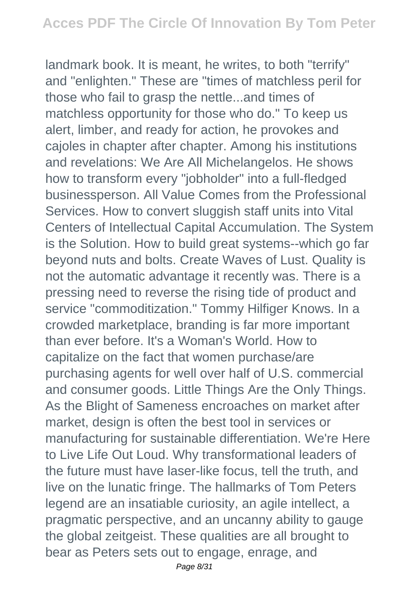landmark book. It is meant, he writes, to both "terrify" and "enlighten." These are "times of matchless peril for those who fail to grasp the nettle...and times of matchless opportunity for those who do." To keep us alert, limber, and ready for action, he provokes and cajoles in chapter after chapter. Among his institutions and revelations: We Are All Michelangelos. He shows how to transform every "jobholder" into a full-fledged businessperson. All Value Comes from the Professional Services. How to convert sluggish staff units into Vital Centers of Intellectual Capital Accumulation. The System is the Solution. How to build great systems--which go far beyond nuts and bolts. Create Waves of Lust. Quality is not the automatic advantage it recently was. There is a pressing need to reverse the rising tide of product and service "commoditization." Tommy Hilfiger Knows. In a crowded marketplace, branding is far more important than ever before. It's a Woman's World. How to capitalize on the fact that women purchase/are purchasing agents for well over half of U.S. commercial and consumer goods. Little Things Are the Only Things. As the Blight of Sameness encroaches on market after market, design is often the best tool in services or manufacturing for sustainable differentiation. We're Here to Live Life Out Loud. Why transformational leaders of the future must have laser-like focus, tell the truth, and live on the lunatic fringe. The hallmarks of Tom Peters legend are an insatiable curiosity, an agile intellect, a pragmatic perspective, and an uncanny ability to gauge the global zeitgeist. These qualities are all brought to bear as Peters sets out to engage, enrage, and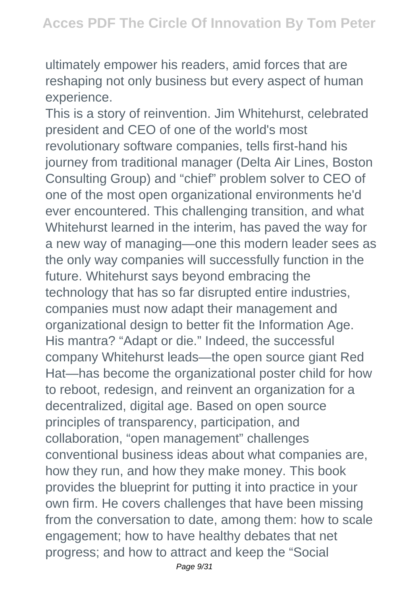ultimately empower his readers, amid forces that are reshaping not only business but every aspect of human experience.

This is a story of reinvention. Jim Whitehurst, celebrated president and CEO of one of the world's most revolutionary software companies, tells first-hand his journey from traditional manager (Delta Air Lines, Boston Consulting Group) and "chief" problem solver to CEO of one of the most open organizational environments he'd ever encountered. This challenging transition, and what Whitehurst learned in the interim, has paved the way for a new way of managing—one this modern leader sees as the only way companies will successfully function in the future. Whitehurst says beyond embracing the technology that has so far disrupted entire industries, companies must now adapt their management and organizational design to better fit the Information Age. His mantra? "Adapt or die." Indeed, the successful company Whitehurst leads—the open source giant Red Hat—has become the organizational poster child for how to reboot, redesign, and reinvent an organization for a decentralized, digital age. Based on open source principles of transparency, participation, and collaboration, "open management" challenges conventional business ideas about what companies are, how they run, and how they make money. This book provides the blueprint for putting it into practice in your own firm. He covers challenges that have been missing from the conversation to date, among them: how to scale engagement; how to have healthy debates that net progress; and how to attract and keep the "Social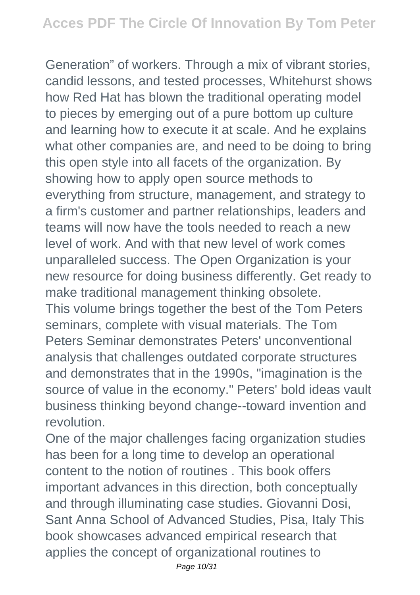Generation" of workers. Through a mix of vibrant stories, candid lessons, and tested processes, Whitehurst shows how Red Hat has blown the traditional operating model to pieces by emerging out of a pure bottom up culture and learning how to execute it at scale. And he explains what other companies are, and need to be doing to bring this open style into all facets of the organization. By showing how to apply open source methods to everything from structure, management, and strategy to a firm's customer and partner relationships, leaders and teams will now have the tools needed to reach a new level of work. And with that new level of work comes unparalleled success. The Open Organization is your new resource for doing business differently. Get ready to make traditional management thinking obsolete. This volume brings together the best of the Tom Peters seminars, complete with visual materials. The Tom Peters Seminar demonstrates Peters' unconventional analysis that challenges outdated corporate structures and demonstrates that in the 1990s, "imagination is the source of value in the economy." Peters' bold ideas vault business thinking beyond change--toward invention and revolution.

One of the major challenges facing organization studies has been for a long time to develop an operational content to the notion of routines . This book offers important advances in this direction, both conceptually and through illuminating case studies. Giovanni Dosi, Sant Anna School of Advanced Studies, Pisa, Italy This book showcases advanced empirical research that applies the concept of organizational routines to Page 10/31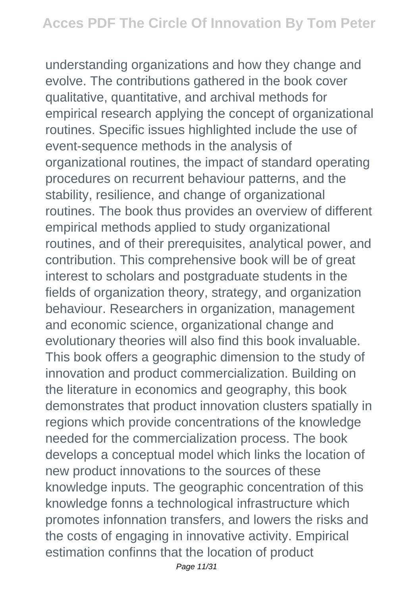understanding organizations and how they change and evolve. The contributions gathered in the book cover qualitative, quantitative, and archival methods for empirical research applying the concept of organizational routines. Specific issues highlighted include the use of event-sequence methods in the analysis of organizational routines, the impact of standard operating procedures on recurrent behaviour patterns, and the stability, resilience, and change of organizational routines. The book thus provides an overview of different empirical methods applied to study organizational routines, and of their prerequisites, analytical power, and contribution. This comprehensive book will be of great interest to scholars and postgraduate students in the fields of organization theory, strategy, and organization behaviour. Researchers in organization, management and economic science, organizational change and evolutionary theories will also find this book invaluable. This book offers a geographic dimension to the study of innovation and product commercialization. Building on the literature in economics and geography, this book demonstrates that product innovation clusters spatially in regions which provide concentrations of the knowledge needed for the commercialization process. The book develops a conceptual model which links the location of new product innovations to the sources of these knowledge inputs. The geographic concentration of this knowledge fonns a technological infrastructure which promotes infonnation transfers, and lowers the risks and the costs of engaging in innovative activity. Empirical estimation confinns that the location of product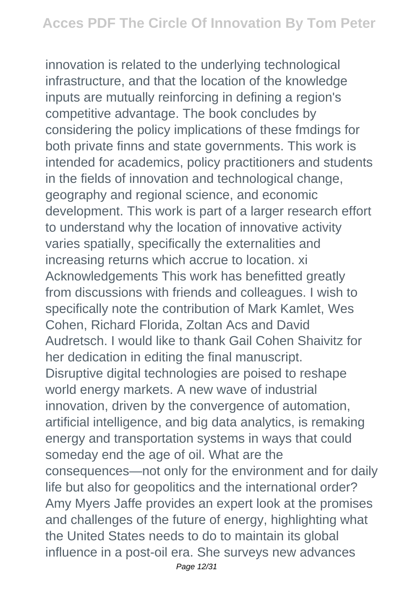innovation is related to the underlying technological infrastructure, and that the location of the knowledge inputs are mutually reinforcing in defining a region's competitive advantage. The book concludes by considering the policy implications of these fmdings for both private finns and state governments. This work is intended for academics, policy practitioners and students in the fields of innovation and technological change, geography and regional science, and economic development. This work is part of a larger research effort to understand why the location of innovative activity varies spatially, specifically the externalities and increasing returns which accrue to location. xi Acknowledgements This work has benefitted greatly from discussions with friends and colleagues. I wish to specifically note the contribution of Mark Kamlet, Wes Cohen, Richard Florida, Zoltan Acs and David Audretsch. I would like to thank Gail Cohen Shaivitz for her dedication in editing the final manuscript. Disruptive digital technologies are poised to reshape world energy markets. A new wave of industrial innovation, driven by the convergence of automation, artificial intelligence, and big data analytics, is remaking energy and transportation systems in ways that could someday end the age of oil. What are the consequences—not only for the environment and for daily life but also for geopolitics and the international order? Amy Myers Jaffe provides an expert look at the promises and challenges of the future of energy, highlighting what the United States needs to do to maintain its global influence in a post-oil era. She surveys new advances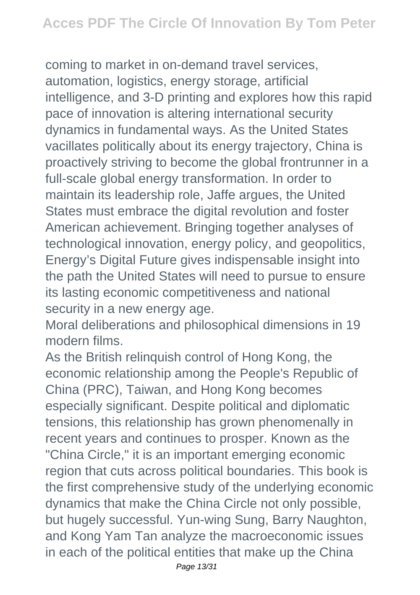coming to market in on-demand travel services, automation, logistics, energy storage, artificial intelligence, and 3-D printing and explores how this rapid pace of innovation is altering international security dynamics in fundamental ways. As the United States vacillates politically about its energy trajectory, China is proactively striving to become the global frontrunner in a full-scale global energy transformation. In order to maintain its leadership role, Jaffe argues, the United States must embrace the digital revolution and foster American achievement. Bringing together analyses of technological innovation, energy policy, and geopolitics, Energy's Digital Future gives indispensable insight into the path the United States will need to pursue to ensure its lasting economic competitiveness and national security in a new energy age.

Moral deliberations and philosophical dimensions in 19 modern films.

As the British relinquish control of Hong Kong, the economic relationship among the People's Republic of China (PRC), Taiwan, and Hong Kong becomes especially significant. Despite political and diplomatic tensions, this relationship has grown phenomenally in recent years and continues to prosper. Known as the "China Circle," it is an important emerging economic region that cuts across political boundaries. This book is the first comprehensive study of the underlying economic dynamics that make the China Circle not only possible, but hugely successful. Yun-wing Sung, Barry Naughton, and Kong Yam Tan analyze the macroeconomic issues in each of the political entities that make up the China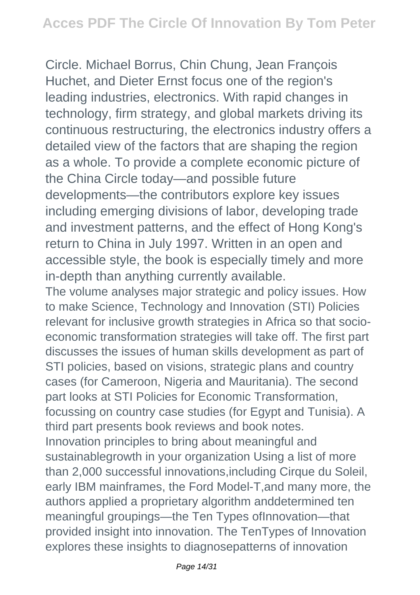Circle. Michael Borrus, Chin Chung, Jean François Huchet, and Dieter Ernst focus one of the region's leading industries, electronics. With rapid changes in technology, firm strategy, and global markets driving its continuous restructuring, the electronics industry offers a detailed view of the factors that are shaping the region as a whole. To provide a complete economic picture of the China Circle today—and possible future developments—the contributors explore key issues including emerging divisions of labor, developing trade and investment patterns, and the effect of Hong Kong's return to China in July 1997. Written in an open and accessible style, the book is especially timely and more in-depth than anything currently available.

The volume analyses major strategic and policy issues. How to make Science, Technology and Innovation (STI) Policies relevant for inclusive growth strategies in Africa so that socioeconomic transformation strategies will take off. The first part discusses the issues of human skills development as part of STI policies, based on visions, strategic plans and country cases (for Cameroon, Nigeria and Mauritania). The second part looks at STI Policies for Economic Transformation, focussing on country case studies (for Egypt and Tunisia). A third part presents book reviews and book notes. Innovation principles to bring about meaningful and sustainablegrowth in your organization Using a list of more than 2,000 successful innovations,including Cirque du Soleil, early IBM mainframes, the Ford Model-T,and many more, the authors applied a proprietary algorithm anddetermined ten meaningful groupings—the Ten Types ofInnovation—that provided insight into innovation. The TenTypes of Innovation explores these insights to diagnosepatterns of innovation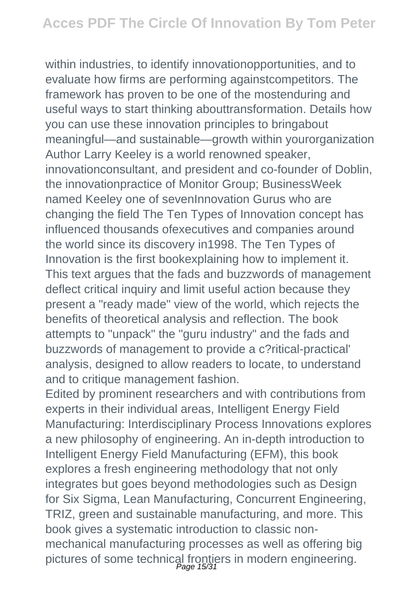within industries, to identify innovationopportunities, and to evaluate how firms are performing againstcompetitors. The framework has proven to be one of the mostenduring and useful ways to start thinking abouttransformation. Details how you can use these innovation principles to bringabout meaningful—and sustainable—growth within yourorganization Author Larry Keeley is a world renowned speaker, innovationconsultant, and president and co-founder of Doblin, the innovationpractice of Monitor Group; BusinessWeek named Keeley one of sevenInnovation Gurus who are changing the field The Ten Types of Innovation concept has influenced thousands ofexecutives and companies around the world since its discovery in1998. The Ten Types of Innovation is the first bookexplaining how to implement it. This text argues that the fads and buzzwords of management deflect critical inquiry and limit useful action because they present a "ready made" view of the world, which rejects the benefits of theoretical analysis and reflection. The book attempts to "unpack" the "guru industry" and the fads and buzzwords of management to provide a c?ritical-practical' analysis, designed to allow readers to locate, to understand and to critique management fashion.

Edited by prominent researchers and with contributions from experts in their individual areas, Intelligent Energy Field Manufacturing: Interdisciplinary Process Innovations explores a new philosophy of engineering. An in-depth introduction to Intelligent Energy Field Manufacturing (EFM), this book explores a fresh engineering methodology that not only integrates but goes beyond methodologies such as Design for Six Sigma, Lean Manufacturing, Concurrent Engineering, TRIZ, green and sustainable manufacturing, and more. This book gives a systematic introduction to classic nonmechanical manufacturing processes as well as offering big pictures of some technical frontiers in modern engineering.<br>Page 15/31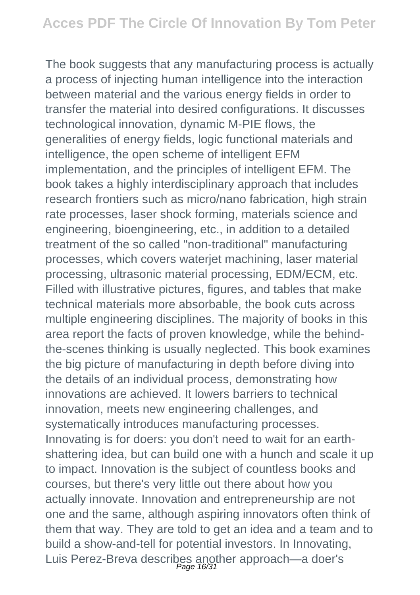The book suggests that any manufacturing process is actually a process of injecting human intelligence into the interaction between material and the various energy fields in order to transfer the material into desired configurations. It discusses technological innovation, dynamic M-PIE flows, the generalities of energy fields, logic functional materials and intelligence, the open scheme of intelligent EFM implementation, and the principles of intelligent EFM. The book takes a highly interdisciplinary approach that includes research frontiers such as micro/nano fabrication, high strain rate processes, laser shock forming, materials science and engineering, bioengineering, etc., in addition to a detailed treatment of the so called "non-traditional" manufacturing processes, which covers waterjet machining, laser material processing, ultrasonic material processing, EDM/ECM, etc. Filled with illustrative pictures, figures, and tables that make technical materials more absorbable, the book cuts across multiple engineering disciplines. The majority of books in this area report the facts of proven knowledge, while the behindthe-scenes thinking is usually neglected. This book examines the big picture of manufacturing in depth before diving into the details of an individual process, demonstrating how innovations are achieved. It lowers barriers to technical innovation, meets new engineering challenges, and systematically introduces manufacturing processes. Innovating is for doers: you don't need to wait for an earthshattering idea, but can build one with a hunch and scale it up to impact. Innovation is the subject of countless books and courses, but there's very little out there about how you actually innovate. Innovation and entrepreneurship are not one and the same, although aspiring innovators often think of them that way. They are told to get an idea and a team and to build a show-and-tell for potential investors. In Innovating, Luis Perez-Breva describes another approach—a doer's Page 16/31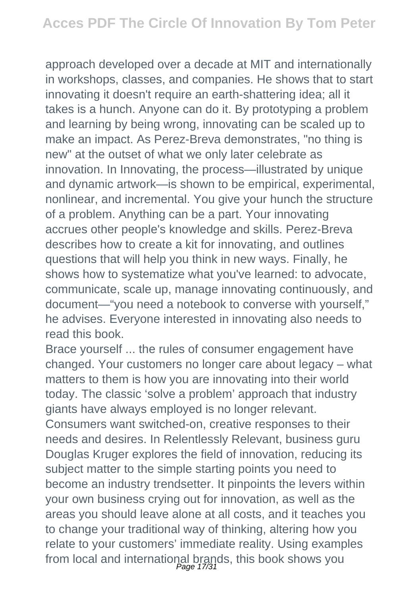approach developed over a decade at MIT and internationally in workshops, classes, and companies. He shows that to start innovating it doesn't require an earth-shattering idea; all it takes is a hunch. Anyone can do it. By prototyping a problem and learning by being wrong, innovating can be scaled up to make an impact. As Perez-Breva demonstrates, "no thing is new" at the outset of what we only later celebrate as innovation. In Innovating, the process—illustrated by unique and dynamic artwork—is shown to be empirical, experimental, nonlinear, and incremental. You give your hunch the structure of a problem. Anything can be a part. Your innovating accrues other people's knowledge and skills. Perez-Breva describes how to create a kit for innovating, and outlines questions that will help you think in new ways. Finally, he shows how to systematize what you've learned: to advocate, communicate, scale up, manage innovating continuously, and document—"you need a notebook to converse with yourself," he advises. Everyone interested in innovating also needs to read this book.

Brace yourself ... the rules of consumer engagement have changed. Your customers no longer care about legacy – what matters to them is how you are innovating into their world today. The classic 'solve a problem' approach that industry giants have always employed is no longer relevant. Consumers want switched-on, creative responses to their needs and desires. In Relentlessly Relevant, business guru Douglas Kruger explores the field of innovation, reducing its subject matter to the simple starting points you need to become an industry trendsetter. It pinpoints the levers within your own business crying out for innovation, as well as the areas you should leave alone at all costs, and it teaches you to change your traditional way of thinking, altering how you relate to your customers' immediate reality. Using examples from local and international brands, this book shows you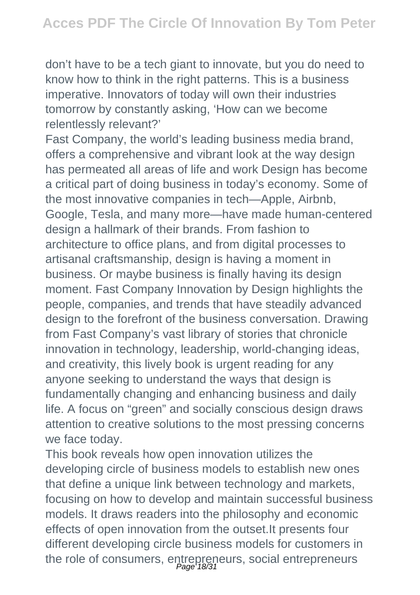don't have to be a tech giant to innovate, but you do need to know how to think in the right patterns. This is a business imperative. Innovators of today will own their industries tomorrow by constantly asking, 'How can we become relentlessly relevant?'

Fast Company, the world's leading business media brand, offers a comprehensive and vibrant look at the way design has permeated all areas of life and work Design has become a critical part of doing business in today's economy. Some of the most innovative companies in tech—Apple, Airbnb, Google, Tesla, and many more—have made human-centered design a hallmark of their brands. From fashion to architecture to office plans, and from digital processes to artisanal craftsmanship, design is having a moment in business. Or maybe business is finally having its design moment. Fast Company Innovation by Design highlights the people, companies, and trends that have steadily advanced design to the forefront of the business conversation. Drawing from Fast Company's vast library of stories that chronicle innovation in technology, leadership, world-changing ideas, and creativity, this lively book is urgent reading for any anyone seeking to understand the ways that design is fundamentally changing and enhancing business and daily life. A focus on "green" and socially conscious design draws attention to creative solutions to the most pressing concerns we face today.

This book reveals how open innovation utilizes the developing circle of business models to establish new ones that define a unique link between technology and markets, focusing on how to develop and maintain successful business models. It draws readers into the philosophy and economic effects of open innovation from the outset.It presents four different developing circle business models for customers in the role of consumers, entrepreneurs, social entrepreneurs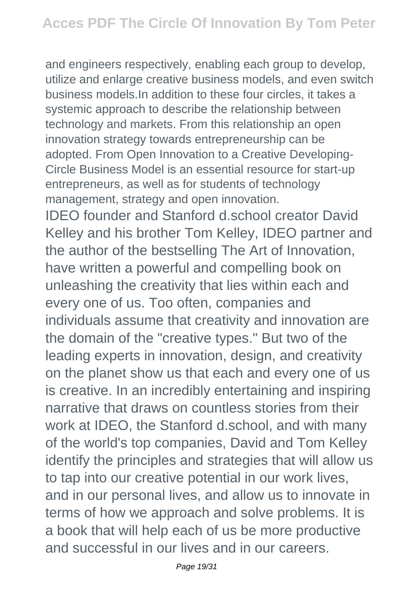and engineers respectively, enabling each group to develop, utilize and enlarge creative business models, and even switch business models.In addition to these four circles, it takes a systemic approach to describe the relationship between technology and markets. From this relationship an open innovation strategy towards entrepreneurship can be adopted. From Open Innovation to a Creative Developing-Circle Business Model is an essential resource for start-up entrepreneurs, as well as for students of technology management, strategy and open innovation.

IDEO founder and Stanford d.school creator David Kelley and his brother Tom Kelley, IDEO partner and the author of the bestselling The Art of Innovation, have written a powerful and compelling book on unleashing the creativity that lies within each and every one of us. Too often, companies and individuals assume that creativity and innovation are the domain of the "creative types." But two of the leading experts in innovation, design, and creativity on the planet show us that each and every one of us is creative. In an incredibly entertaining and inspiring narrative that draws on countless stories from their work at IDEO, the Stanford d.school, and with many of the world's top companies, David and Tom Kelley identify the principles and strategies that will allow us to tap into our creative potential in our work lives, and in our personal lives, and allow us to innovate in terms of how we approach and solve problems. It is a book that will help each of us be more productive and successful in our lives and in our careers.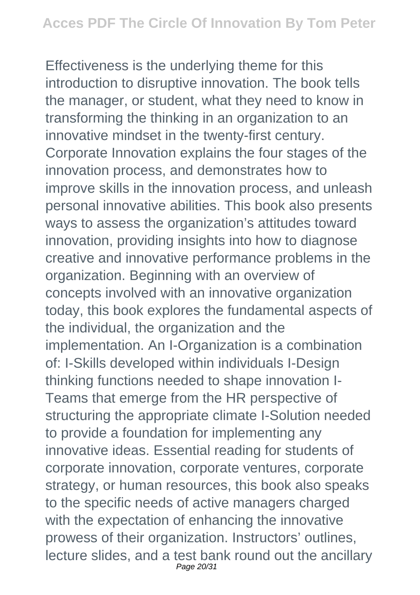Effectiveness is the underlying theme for this introduction to disruptive innovation. The book tells the manager, or student, what they need to know in transforming the thinking in an organization to an innovative mindset in the twenty-first century. Corporate Innovation explains the four stages of the innovation process, and demonstrates how to improve skills in the innovation process, and unleash personal innovative abilities. This book also presents ways to assess the organization's attitudes toward innovation, providing insights into how to diagnose creative and innovative performance problems in the organization. Beginning with an overview of concepts involved with an innovative organization today, this book explores the fundamental aspects of the individual, the organization and the implementation. An I-Organization is a combination of: I-Skills developed within individuals I-Design thinking functions needed to shape innovation I-Teams that emerge from the HR perspective of structuring the appropriate climate I-Solution needed to provide a foundation for implementing any innovative ideas. Essential reading for students of corporate innovation, corporate ventures, corporate strategy, or human resources, this book also speaks to the specific needs of active managers charged with the expectation of enhancing the innovative prowess of their organization. Instructors' outlines, lecture slides, and a test bank round out the ancillary Page 20/31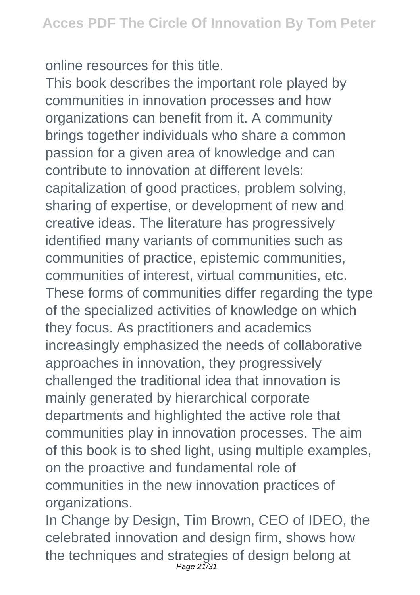online resources for this title.

This book describes the important role played by communities in innovation processes and how organizations can benefit from it. A community brings together individuals who share a common passion for a given area of knowledge and can contribute to innovation at different levels: capitalization of good practices, problem solving, sharing of expertise, or development of new and creative ideas. The literature has progressively identified many variants of communities such as communities of practice, epistemic communities, communities of interest, virtual communities, etc. These forms of communities differ regarding the type of the specialized activities of knowledge on which they focus. As practitioners and academics increasingly emphasized the needs of collaborative approaches in innovation, they progressively challenged the traditional idea that innovation is mainly generated by hierarchical corporate departments and highlighted the active role that communities play in innovation processes. The aim of this book is to shed light, using multiple examples, on the proactive and fundamental role of communities in the new innovation practices of organizations.

In Change by Design, Tim Brown, CEO of IDEO, the celebrated innovation and design firm, shows how the techniques and strategies of design belong at Page 21/31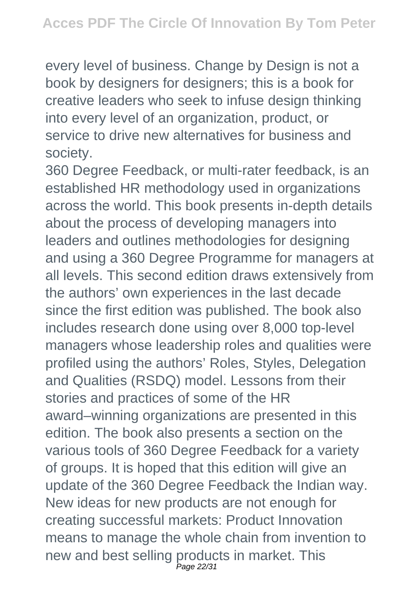every level of business. Change by Design is not a book by designers for designers; this is a book for creative leaders who seek to infuse design thinking into every level of an organization, product, or service to drive new alternatives for business and society.

360 Degree Feedback, or multi-rater feedback, is an established HR methodology used in organizations across the world. This book presents in-depth details about the process of developing managers into leaders and outlines methodologies for designing and using a 360 Degree Programme for managers at all levels. This second edition draws extensively from the authors' own experiences in the last decade since the first edition was published. The book also includes research done using over 8,000 top-level managers whose leadership roles and qualities were profiled using the authors' Roles, Styles, Delegation and Qualities (RSDQ) model. Lessons from their stories and practices of some of the HR award–winning organizations are presented in this edition. The book also presents a section on the various tools of 360 Degree Feedback for a variety of groups. It is hoped that this edition will give an update of the 360 Degree Feedback the Indian way. New ideas for new products are not enough for creating successful markets: Product Innovation means to manage the whole chain from invention to new and best selling products in market. This Page 22/31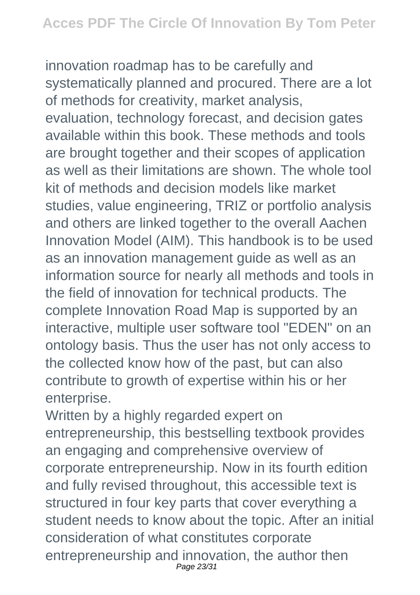innovation roadmap has to be carefully and systematically planned and procured. There are a lot of methods for creativity, market analysis, evaluation, technology forecast, and decision gates available within this book. These methods and tools are brought together and their scopes of application as well as their limitations are shown. The whole tool kit of methods and decision models like market studies, value engineering, TRIZ or portfolio analysis and others are linked together to the overall Aachen Innovation Model (AIM). This handbook is to be used as an innovation management guide as well as an information source for nearly all methods and tools in the field of innovation for technical products. The complete Innovation Road Map is supported by an interactive, multiple user software tool "EDEN" on an ontology basis. Thus the user has not only access to the collected know how of the past, but can also contribute to growth of expertise within his or her enterprise.

Written by a highly regarded expert on entrepreneurship, this bestselling textbook provides an engaging and comprehensive overview of corporate entrepreneurship. Now in its fourth edition and fully revised throughout, this accessible text is structured in four key parts that cover everything a student needs to know about the topic. After an initial consideration of what constitutes corporate entrepreneurship and innovation, the author then Page 23/31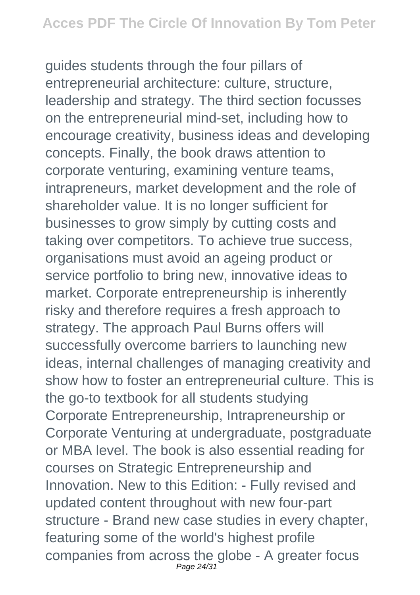guides students through the four pillars of entrepreneurial architecture: culture, structure, leadership and strategy. The third section focusses on the entrepreneurial mind-set, including how to encourage creativity, business ideas and developing concepts. Finally, the book draws attention to corporate venturing, examining venture teams, intrapreneurs, market development and the role of shareholder value. It is no longer sufficient for businesses to grow simply by cutting costs and taking over competitors. To achieve true success, organisations must avoid an ageing product or service portfolio to bring new, innovative ideas to market. Corporate entrepreneurship is inherently risky and therefore requires a fresh approach to strategy. The approach Paul Burns offers will successfully overcome barriers to launching new ideas, internal challenges of managing creativity and show how to foster an entrepreneurial culture. This is the go-to textbook for all students studying Corporate Entrepreneurship, Intrapreneurship or Corporate Venturing at undergraduate, postgraduate or MBA level. The book is also essential reading for courses on Strategic Entrepreneurship and Innovation. New to this Edition: - Fully revised and updated content throughout with new four-part structure - Brand new case studies in every chapter, featuring some of the world's highest profile companies from across the globe - A greater focus Page 24/31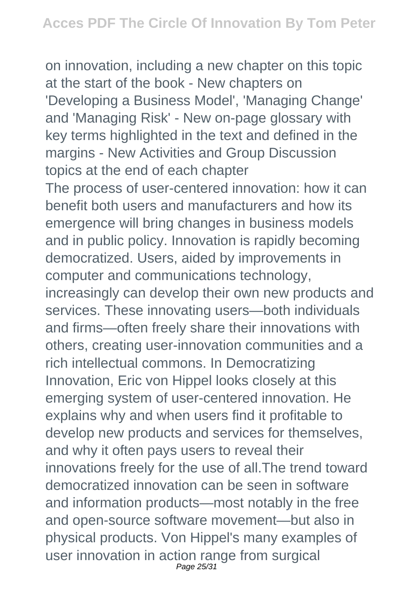on innovation, including a new chapter on this topic at the start of the book - New chapters on 'Developing a Business Model', 'Managing Change' and 'Managing Risk' - New on-page glossary with key terms highlighted in the text and defined in the margins - New Activities and Group Discussion topics at the end of each chapter

The process of user-centered innovation: how it can benefit both users and manufacturers and how its emergence will bring changes in business models and in public policy. Innovation is rapidly becoming democratized. Users, aided by improvements in computer and communications technology, increasingly can develop their own new products and services. These innovating users—both individuals and firms—often freely share their innovations with others, creating user-innovation communities and a rich intellectual commons. In Democratizing Innovation, Eric von Hippel looks closely at this emerging system of user-centered innovation. He explains why and when users find it profitable to develop new products and services for themselves, and why it often pays users to reveal their innovations freely for the use of all.The trend toward democratized innovation can be seen in software and information products—most notably in the free and open-source software movement—but also in physical products. Von Hippel's many examples of user innovation in action range from surgical Page 25/31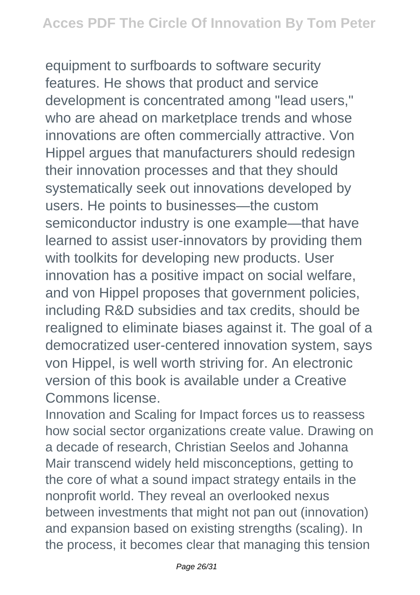equipment to surfboards to software security features. He shows that product and service development is concentrated among "lead users," who are ahead on marketplace trends and whose innovations are often commercially attractive. Von Hippel argues that manufacturers should redesign their innovation processes and that they should systematically seek out innovations developed by users. He points to businesses—the custom semiconductor industry is one example—that have learned to assist user-innovators by providing them with toolkits for developing new products. User innovation has a positive impact on social welfare, and von Hippel proposes that government policies, including R&D subsidies and tax credits, should be realigned to eliminate biases against it. The goal of a democratized user-centered innovation system, says von Hippel, is well worth striving for. An electronic version of this book is available under a Creative Commons license.

Innovation and Scaling for Impact forces us to reassess how social sector organizations create value. Drawing on a decade of research, Christian Seelos and Johanna Mair transcend widely held misconceptions, getting to the core of what a sound impact strategy entails in the nonprofit world. They reveal an overlooked nexus between investments that might not pan out (innovation) and expansion based on existing strengths (scaling). In the process, it becomes clear that managing this tension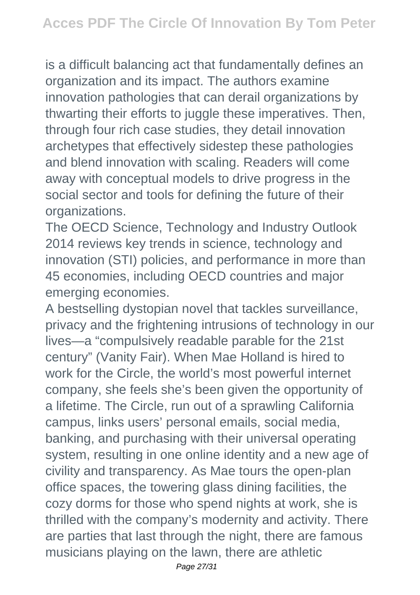is a difficult balancing act that fundamentally defines an organization and its impact. The authors examine innovation pathologies that can derail organizations by thwarting their efforts to juggle these imperatives. Then, through four rich case studies, they detail innovation archetypes that effectively sidestep these pathologies and blend innovation with scaling. Readers will come away with conceptual models to drive progress in the social sector and tools for defining the future of their organizations.

The OECD Science, Technology and Industry Outlook 2014 reviews key trends in science, technology and innovation (STI) policies, and performance in more than 45 economies, including OECD countries and major emerging economies.

A bestselling dystopian novel that tackles surveillance, privacy and the frightening intrusions of technology in our lives—a "compulsively readable parable for the 21st century" (Vanity Fair). When Mae Holland is hired to work for the Circle, the world's most powerful internet company, she feels she's been given the opportunity of a lifetime. The Circle, run out of a sprawling California campus, links users' personal emails, social media, banking, and purchasing with their universal operating system, resulting in one online identity and a new age of civility and transparency. As Mae tours the open-plan office spaces, the towering glass dining facilities, the cozy dorms for those who spend nights at work, she is thrilled with the company's modernity and activity. There are parties that last through the night, there are famous musicians playing on the lawn, there are athletic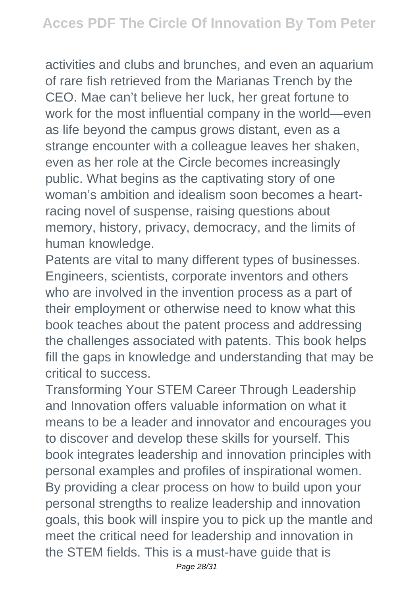activities and clubs and brunches, and even an aquarium of rare fish retrieved from the Marianas Trench by the CEO. Mae can't believe her luck, her great fortune to work for the most influential company in the world—even as life beyond the campus grows distant, even as a strange encounter with a colleague leaves her shaken, even as her role at the Circle becomes increasingly public. What begins as the captivating story of one woman's ambition and idealism soon becomes a heartracing novel of suspense, raising questions about memory, history, privacy, democracy, and the limits of human knowledge.

Patents are vital to many different types of businesses. Engineers, scientists, corporate inventors and others who are involved in the invention process as a part of their employment or otherwise need to know what this book teaches about the patent process and addressing the challenges associated with patents. This book helps fill the gaps in knowledge and understanding that may be critical to success.

Transforming Your STEM Career Through Leadership and Innovation offers valuable information on what it means to be a leader and innovator and encourages you to discover and develop these skills for yourself. This book integrates leadership and innovation principles with personal examples and profiles of inspirational women. By providing a clear process on how to build upon your personal strengths to realize leadership and innovation goals, this book will inspire you to pick up the mantle and meet the critical need for leadership and innovation in the STEM fields. This is a must-have guide that is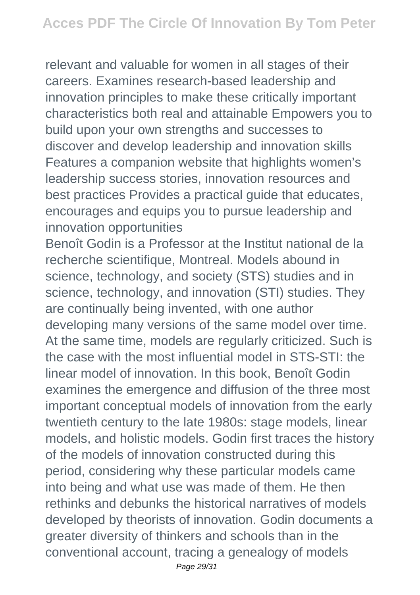relevant and valuable for women in all stages of their careers. Examines research-based leadership and innovation principles to make these critically important characteristics both real and attainable Empowers you to build upon your own strengths and successes to discover and develop leadership and innovation skills Features a companion website that highlights women's leadership success stories, innovation resources and best practices Provides a practical guide that educates, encourages and equips you to pursue leadership and innovation opportunities

Benoît Godin is a Professor at the Institut national de la recherche scientifique, Montreal. Models abound in science, technology, and society (STS) studies and in science, technology, and innovation (STI) studies. They are continually being invented, with one author developing many versions of the same model over time. At the same time, models are regularly criticized. Such is the case with the most influential model in STS-STI: the linear model of innovation. In this book, Benoît Godin examines the emergence and diffusion of the three most important conceptual models of innovation from the early twentieth century to the late 1980s: stage models, linear models, and holistic models. Godin first traces the history of the models of innovation constructed during this period, considering why these particular models came into being and what use was made of them. He then rethinks and debunks the historical narratives of models developed by theorists of innovation. Godin documents a greater diversity of thinkers and schools than in the conventional account, tracing a genealogy of models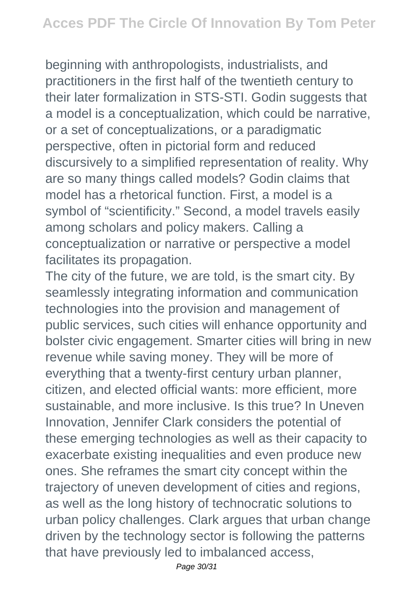beginning with anthropologists, industrialists, and practitioners in the first half of the twentieth century to their later formalization in STS-STI. Godin suggests that a model is a conceptualization, which could be narrative, or a set of conceptualizations, or a paradigmatic perspective, often in pictorial form and reduced discursively to a simplified representation of reality. Why are so many things called models? Godin claims that model has a rhetorical function. First, a model is a symbol of "scientificity." Second, a model travels easily among scholars and policy makers. Calling a conceptualization or narrative or perspective a model facilitates its propagation.

The city of the future, we are told, is the smart city. By seamlessly integrating information and communication technologies into the provision and management of public services, such cities will enhance opportunity and bolster civic engagement. Smarter cities will bring in new revenue while saving money. They will be more of everything that a twenty-first century urban planner, citizen, and elected official wants: more efficient, more sustainable, and more inclusive. Is this true? In Uneven Innovation, Jennifer Clark considers the potential of these emerging technologies as well as their capacity to exacerbate existing inequalities and even produce new ones. She reframes the smart city concept within the trajectory of uneven development of cities and regions, as well as the long history of technocratic solutions to urban policy challenges. Clark argues that urban change driven by the technology sector is following the patterns that have previously led to imbalanced access,